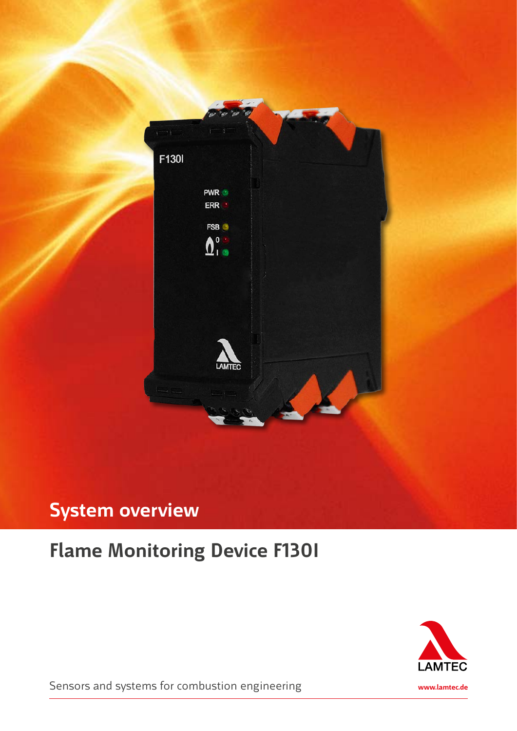

## **System overview**

### **Flame Monitoring Device F130I**



Sensors and systems for combustion engineering **www.lamtec.de**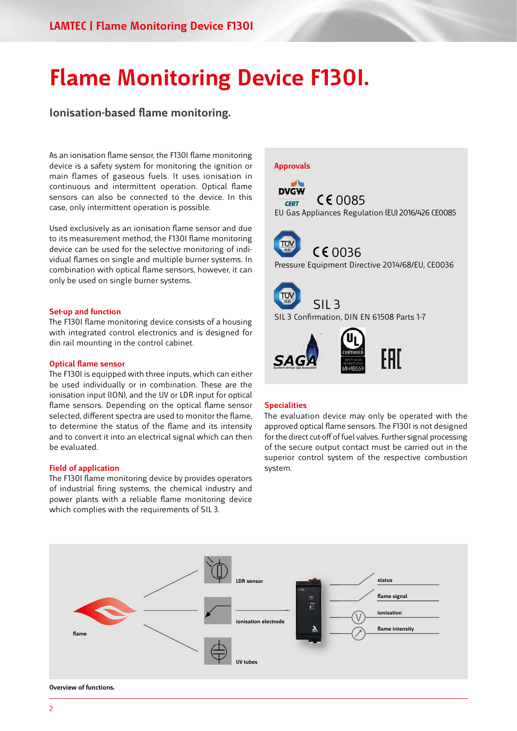# **Flame Monitoring Device F130I.**

**Ionisation-based flame monitoring.**

As an ionisation flame sensor, the F130I flame monitoring device is a safety system for monitoring the ignition or main flames of gaseous fuels. It uses ionisation in continuous and intermittent operation. Optical flame sensors can also be connected to the device. In this case, only intermittent operation is possible.

Used exclusively as an ionisation flame sensor and due to its measurement method, the F130I flame monitoring device can be used for the selective monitoring of individual flames on single and multiple burner systems. In combination with optical flame sensors, however, it can only be used on single burner systems.

#### **Set-up and function**

The F130I flame monitoring device consists of a housing with integrated control electronics and is designed for din rail mounting in the control cabinet.

#### **Optical flame sensor**

The F130I is equipped with three inputs, which can either be used individually or in combination. These are the ionisation input (ION), and the UV or LDR input for optical flame sensors. Depending on the optical flame sensor selected, different spectra are used to monitor the flame, to determine the status of the flame and its intensity and to convert it into an electrical signal which can then be evaluated.

#### **Field of application**

The F130I flame monitoring device by provides operators of industrial firing systems, the chemical industry and power plants with a reliable flame monitoring device which complies with the requirements of SIL 3.



#### **Specialities**

The evaluation device may only be operated with the approved optical flame sensors. The F130I is not designed for the direct cut-off of fuel valves. Further signal processing of the secure output contact must be carried out in the superior control system of the respective combustion system.



**Overview of functions.**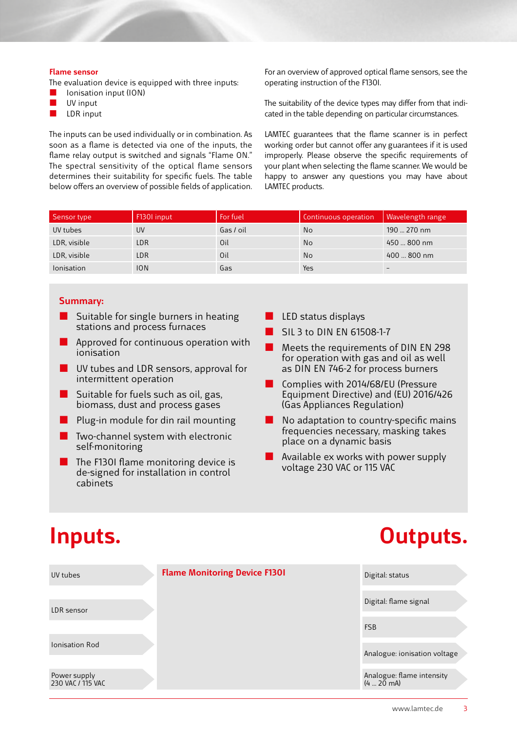#### **Flame sensor**

The evaluation device is equipped with three inputs:

- Ionisation input (ION)
- $\blacksquare$  UV input
- $LDR$  input

The inputs can be used individually or in combination. As soon as a flame is detected via one of the inputs, the flame relay output is switched and signals "Flame ON." The spectral sensitivity of the optical flame sensors determines their suitability for specific fuels. The table below offers an overview of possible fields of application. For an overview of approved optical flame sensors, see the operating instruction of the F130I.

The suitability of the device types may differ from that indicated in the table depending on particular circumstances.

LAMTEC guarantees that the flame scanner is in perfect working order but cannot offer any guarantees if it is used improperly. Please observe the specific requirements of your plant when selecting the flame scanner. We would be happy to answer any questions you may have about LAMTEC products.

| Sensor type       | F1301 input | For fuel  | Continuous operation | <b>Wavelength range</b>  |
|-------------------|-------------|-----------|----------------------|--------------------------|
| UV tubes          | UV          | Gas / oil | <b>No</b>            | 190  270 nm              |
| LDR, visible      | LDR         | Oil       | <b>No</b>            | 450  800 nm              |
| LDR, visible      | LDR         | Oil       | <b>No</b>            | 400  800 nm              |
| <b>lonisation</b> | ION         | Gas       | Yes                  | $\overline{\phantom{a}}$ |

### **Summary:**

- Suitable for single burners in heating stations and process furnaces
- Approved for continuous operation with ionisation
- UV tubes and LDR sensors, approval for intermittent operation
- Suitable for fuels such as oil, gas, biomass, dust and process gases
- Plug-in module for din rail mounting
- Two-channel system with electronic self-monitoring
- The F130I flame monitoring device is de-signed for installation in control cabinets
- LED status displays
- SIL 3 to DIN EN 61508-1-7
- Meets the requirements of DIN EN 298 for operation with gas and oil as well as DIN EN 746-2 for process burners
- Complies with 2014/68/EU (Pressure Equipment Directive) and (EU) 2016/426 (Gas Appliances Regulation)
- No adaptation to country-specific mains frequencies necessary, masking takes place on a dynamic basis
- Available ex works with power supply voltage 230 VAC or 115 VAC

# **Inputs. Outputs.**

| UV tubes                          | <b>Flame Monitoring Device F1301</b> | Digital: status                            |
|-----------------------------------|--------------------------------------|--------------------------------------------|
| LDR sensor                        |                                      | Digital: flame signal                      |
|                                   |                                      | <b>FSB</b>                                 |
| <b>Ionisation Rod</b>             |                                      | Analogue: ionisation voltage               |
| Power supply<br>230 VAC / 115 VAC |                                      | Analogue: flame intensity<br>$(4 - 20$ mA) |